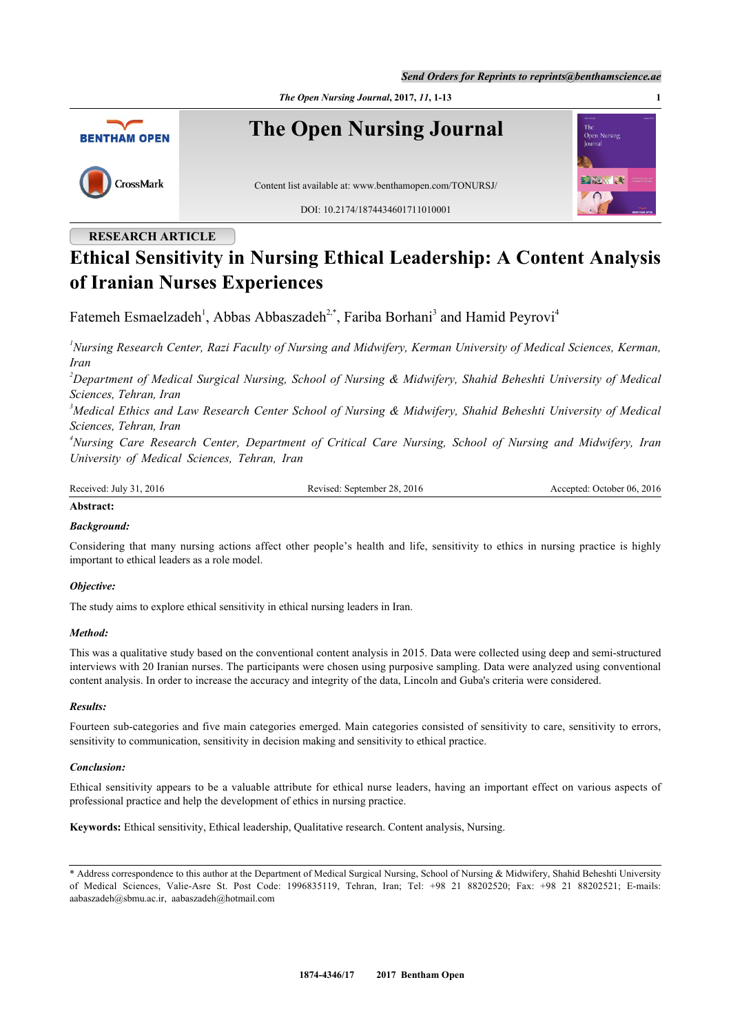*Send Orders for Reprints to reprints@benthamscience.ae*



# **RESEARCH ARTICLE**

# **Ethical Sensitivity in Nursing Ethical Leadership: A Content Analysis of Iranian Nurses Experiences**

Fatemeh Esmaelzadeh<sup>[1](#page-0-0)</sup>, Abbas Abbaszadeh<sup>[2](#page-0-1),[\\*](#page-0-2)</sup>, Fariba Borhani<sup>[3](#page-0-3)</sup> and Hamid Peyrovi<sup>[4](#page-0-4)</sup>

<span id="page-0-0"></span>*<sup>1</sup>Nursing Research Center, Razi Faculty of Nursing and Midwifery, Kerman University of Medical Sciences, Kerman, Iran*

<span id="page-0-1"></span>*<sup>2</sup>Department of Medical Surgical Nursing, School of Nursing & Midwifery, Shahid Beheshti University of Medical Sciences, Tehran, Iran*

<span id="page-0-3"></span>*<sup>3</sup>Medical Ethics and Law Research Center School of Nursing & Midwifery, Shahid Beheshti University of Medical Sciences, Tehran, Iran*

<span id="page-0-4"></span>*<sup>4</sup>Nursing Care Research Center, Department of Critical Care Nursing, School of Nursing and Midwifery, Iran University of Medical Sciences, Tehran, Iran*

| $\mathbf{D}$<br>201t.<br>July<br>Rec | ີ 201⊾<br>ግርን<br>nher.<br>enter<br>$\tilde{\phantom{a}}$ | $\Omega$<br>ur<br>നല<br>ъe. |
|--------------------------------------|----------------------------------------------------------|-----------------------------|
|                                      |                                                          |                             |

# **Abstract:**

# *Background:*

Considering that many nursing actions affect other people's health and life, sensitivity to ethics in nursing practice is highly important to ethical leaders as a role model.

# *Objective:*

The study aims to explore ethical sensitivity in ethical nursing leaders in Iran.

#### *Method:*

This was a qualitative study based on the conventional content analysis in 2015. Data were collected using deep and semi-structured interviews with 20 Iranian nurses. The participants were chosen using purposive sampling. Data were analyzed using conventional content analysis. In order to increase the accuracy and integrity of the data, Lincoln and Guba's criteria were considered.

### *Results:*

Fourteen sub-categories and five main categories emerged. Main categories consisted of sensitivity to care, sensitivity to errors, sensitivity to communication, sensitivity in decision making and sensitivity to ethical practice.

#### *Conclusion:*

Ethical sensitivity appears to be a valuable attribute for ethical nurse leaders, having an important effect on various aspects of professional practice and help the development of ethics in nursing practice.

**Keywords:** Ethical sensitivity, Ethical leadership, Qualitative research. Content analysis, Nursing.

<span id="page-0-2"></span><sup>\*</sup> Address correspondence to this author at the Department of Medical Surgical Nursing, School of Nursing & Midwifery, Shahid Beheshti University of Medical Sciences, Valie-Asre St. Post Code: 1996835119, Tehran, Iran; Tel: +98 21 88202520; Fax: +98 21 88202521; E-mails: [aabaszadeh@sbmu.ac.ir,](mailto:aabaszadeh@sbmu.ac.ir) [aabaszadeh@hotmail.com](mailto:aabaszadeh@hotmail.com)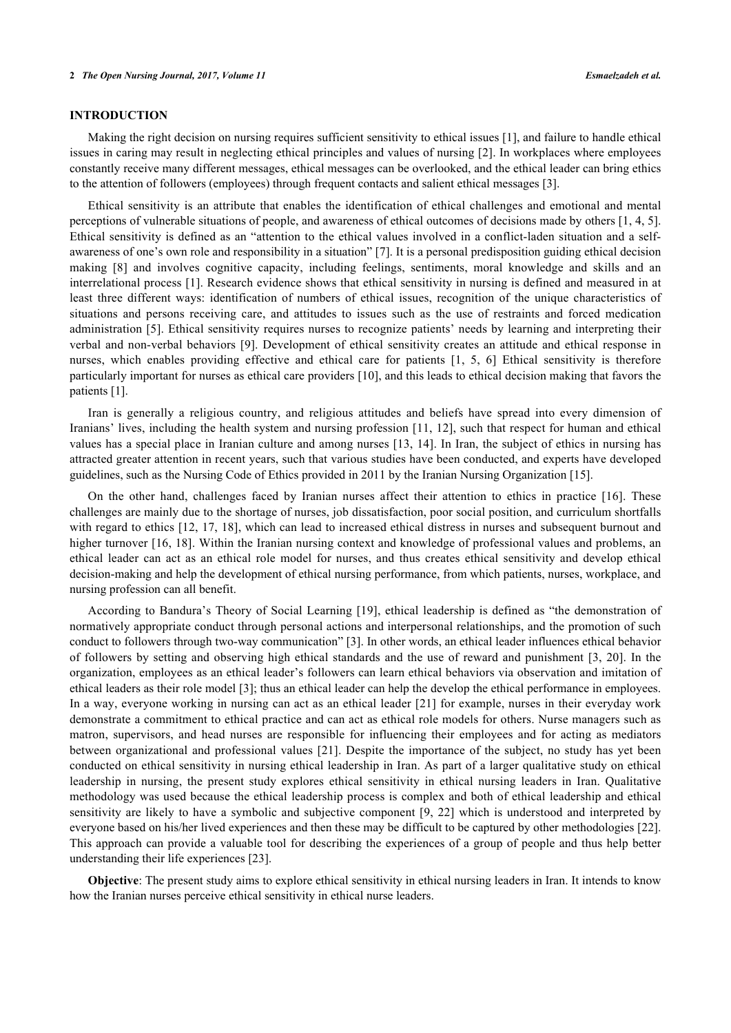# **INTRODUCTION**

Making the right decision on nursing requires sufficient sensitivity to ethical issues [[1\]](#page-10-0), and failure to handle ethical issues in caring may result in neglecting ethical principles and values of nursing [[2](#page-10-1)]. In workplaces where employees constantly receive many different messages, ethical messages can be overlooked, and the ethical leader can bring ethics to the attention of followers (employees) through frequent contacts and salient ethical messages [\[3](#page-10-2)].

Ethical sensitivity is an attribute that enables the identification of ethical challenges and emotional and mental perceptions of vulnerable situations of people, and awareness of ethical outcomes of decisions made by others [\[1](#page-10-0), [4,](#page-10-3) [5\]](#page-10-4). Ethical sensitivity is defined as an "attention to the ethical values involved in a conflict-laden situation and a selfawareness of one's own role and responsibility in a situation" [\[7](#page-10-5)]. It is a personal predisposition guiding ethical decision making [\[8\]](#page-10-6) and involves cognitive capacity, including feelings, sentiments, moral knowledge and skills and an interrelational process [[1\]](#page-10-0). Research evidence shows that ethical sensitivity in nursing is defined and measured in at least three different ways: identification of numbers of ethical issues, recognition of the unique characteristics of situations and persons receiving care, and attitudes to issues such as the use of restraints and forced medication administration [[5\]](#page-10-4). Ethical sensitivity requires nurses to recognize patients' needs by learning and interpreting their verbal and non-verbal behaviors [\[9](#page-10-7)]. Development of ethical sensitivity creates an attitude and ethical response in nurses, which enables providing effective and ethical care for patients[[1](#page-10-0), [5,](#page-10-4) [6](#page-10-8)] Ethical sensitivity is therefore particularly important for nurses as ethical care providers [[10\]](#page-10-9), and this leads to ethical decision making that favors the patients [[1\]](#page-10-0).

Iran is generally a religious country, and religious attitudes and beliefs have spread into every dimension of Iranians' lives, including the health system and nursing profession [[11,](#page-10-10) [12\]](#page-10-11), such that respect for human and ethical values has a special place in Iranian culture and among nurses [[13,](#page-10-12) [14\]](#page-10-13). In Iran, the subject of ethics in nursing has attracted greater attention in recent years, such that various studies have been conducted, and experts have developed guidelines, such as the Nursing Code of Ethics provided in 2011 by the Iranian Nursing Organization [\[15](#page-10-14)].

On the other hand, challenges faced by Iranian nurses affect their attention to ethics in practice[[16\]](#page-10-15). These challenges are mainly due to the shortage of nurses, job dissatisfaction, poor social position, and curriculum shortfalls with regard to ethics [[12,](#page-10-11) [17,](#page-10-16) [18\]](#page-10-17), which can lead to increased ethical distress in nurses and subsequent burnout and higher turnover [[16](#page-10-15), [18](#page-10-17)]. Within the Iranian nursing context and knowledge of professional values and problems, an ethical leader can act as an ethical role model for nurses, and thus creates ethical sensitivity and develop ethical decision-making and help the development of ethical nursing performance, from which patients, nurses, workplace, and nursing profession can all benefit.

According to Bandura's Theory of Social Learning [[19](#page-11-0)], ethical leadership is defined as "the demonstration of normatively appropriate conduct through personal actions and interpersonal relationships, and the promotion of such conduct to followers through two-way communication" [[3\]](#page-10-2). In other words, an ethical leader influences ethical behavior of followers by setting and observing high ethical standards and the use of reward and punishment [[3,](#page-10-2) [20](#page-11-1)]. In the organization, employees as an ethical leader's followers can learn ethical behaviors via observation and imitation of ethical leaders as their role model [\[3](#page-10-2)]; thus an ethical leader can help the develop the ethical performance in employees. In a way, everyone working in nursing can act as an ethical leader [[21](#page-11-2)] for example, nurses in their everyday work demonstrate a commitment to ethical practice and can act as ethical role models for others. Nurse managers such as matron, supervisors, and head nurses are responsible for influencing their employees and for acting as mediators between organizational and professional values [[21](#page-11-2)]. Despite the importance of the subject, no study has yet been conducted on ethical sensitivity in nursing ethical leadership in Iran. As part of a larger qualitative study on ethical leadership in nursing, the present study explores ethical sensitivity in ethical nursing leaders in Iran. Qualitative methodology was used because the ethical leadership process is complex and both of ethical leadership and ethical sensitivity are likely to have a symbolic and subjective component [\[9](#page-10-7), [22\]](#page-11-3) which is understood and interpreted by everyone based on his/her lived experiences and then these may be difficult to be captured by other methodologies [[22\]](#page-11-3). This approach can provide a valuable tool for describing the experiences of a group of people and thus help better understanding their life experiences [[23\]](#page-11-4).

**Objective**: The present study aims to explore ethical sensitivity in ethical nursing leaders in Iran. It intends to know how the Iranian nurses perceive ethical sensitivity in ethical nurse leaders.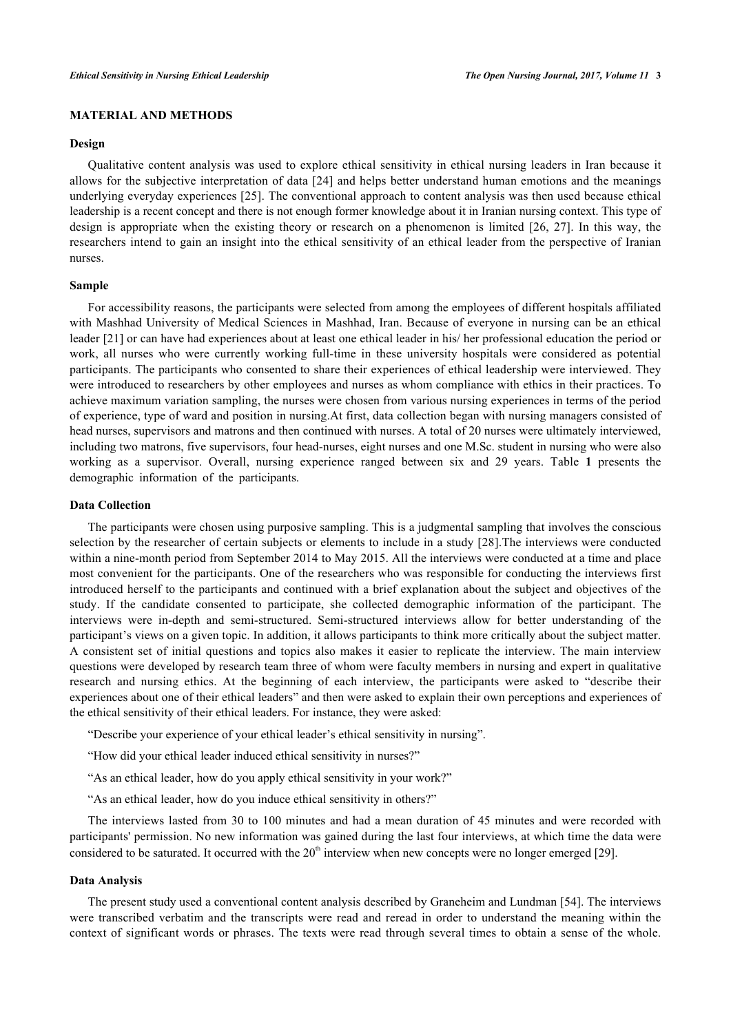# **MATERIAL AND METHODS**

#### **Design**

Qualitative content analysis was used to explore ethical sensitivity in ethical nursing leaders in Iran because it allows for the subjective interpretation of data [[24](#page-11-5)] and helps better understand human emotions and the meanings underlying everyday experiences [\[25\]](#page-11-6). The conventional approach to content analysis was then used because ethical leadership is a recent concept and there is not enough former knowledge about it in Iranian nursing context. This type of design is appropriate when the existing theory or research on a phenomenon is limited[[26,](#page-11-7) [27](#page-11-8)]. In this way, the researchers intend to gain an insight into the ethical sensitivity of an ethical leader from the perspective of Iranian nurses.

# **Sample**

For accessibility reasons, the participants were selected from among the employees of different hospitals affiliated with Mashhad University of Medical Sciences in Mashhad, Iran. Because of everyone in nursing can be an ethical leader [\[21](#page-11-2)] or can have had experiences about at least one ethical leader in his/ her professional education the period or work, all nurses who were currently working full-time in these university hospitals were considered as potential participants. The participants who consented to share their experiences of ethical leadership were interviewed. They were introduced to researchers by other employees and nurses as whom compliance with ethics in their practices. To achieve maximum variation sampling, the nurses were chosen from various nursing experiences in terms of the period of experience, type of ward and position in nursing.At first, data collection began with nursing managers consisted of head nurses, supervisors and matrons and then continued with nurses. A total of 20 nurses were ultimately interviewed, including two matrons, five supervisors, four head-nurses, eight nurses and one M.Sc. student in nursing who were also working as a supervisor. Overall, nursing experience ranged between six and 29 years. Table**1** presents the demographic information of the participants.

#### **Data Collection**

The participants were chosen using purposive sampling. This is a judgmental sampling that involves the conscious selection by the researcher of certain subjects or elements to include in a study [[28\]](#page-11-9).The interviews were conducted within a nine-month period from September 2014 to May 2015. All the interviews were conducted at a time and place most convenient for the participants. One of the researchers who was responsible for conducting the interviews first introduced herself to the participants and continued with a brief explanation about the subject and objectives of the study. If the candidate consented to participate, she collected demographic information of the participant. The interviews were in-depth and semi-structured. Semi-structured interviews allow for better understanding of the participant's views on a given topic. In addition, it allows participants to think more critically about the subject matter. A consistent set of initial questions and topics also makes it easier to replicate the interview. The main interview questions were developed by research team three of whom were faculty members in nursing and expert in qualitative research and nursing ethics. At the beginning of each interview, the participants were asked to "describe their experiences about one of their ethical leaders" and then were asked to explain their own perceptions and experiences of the ethical sensitivity of their ethical leaders. For instance, they were asked:

- "Describe your experience of your ethical leader's ethical sensitivity in nursing".
- "How did your ethical leader induced ethical sensitivity in nurses?"
- "As an ethical leader, how do you apply ethical sensitivity in your work?"
- "As an ethical leader, how do you induce ethical sensitivity in others?"

The interviews lasted from 30 to 100 minutes and had a mean duration of 45 minutes and were recorded with participants' permission. No new information was gained during the last four interviews, at which time the data were considered to be saturated. It occurred with the  $20<sup>th</sup>$  interview when new concepts were no longer emerged [[29\]](#page-11-10).

#### **Data Analysis**

The present study used a conventional content analysis described by Graneheim and Lundman [[54\]](#page-12-0). The interviews were transcribed verbatim and the transcripts were read and reread in order to understand the meaning within the context of significant words or phrases. The texts were read through several times to obtain a sense of the whole.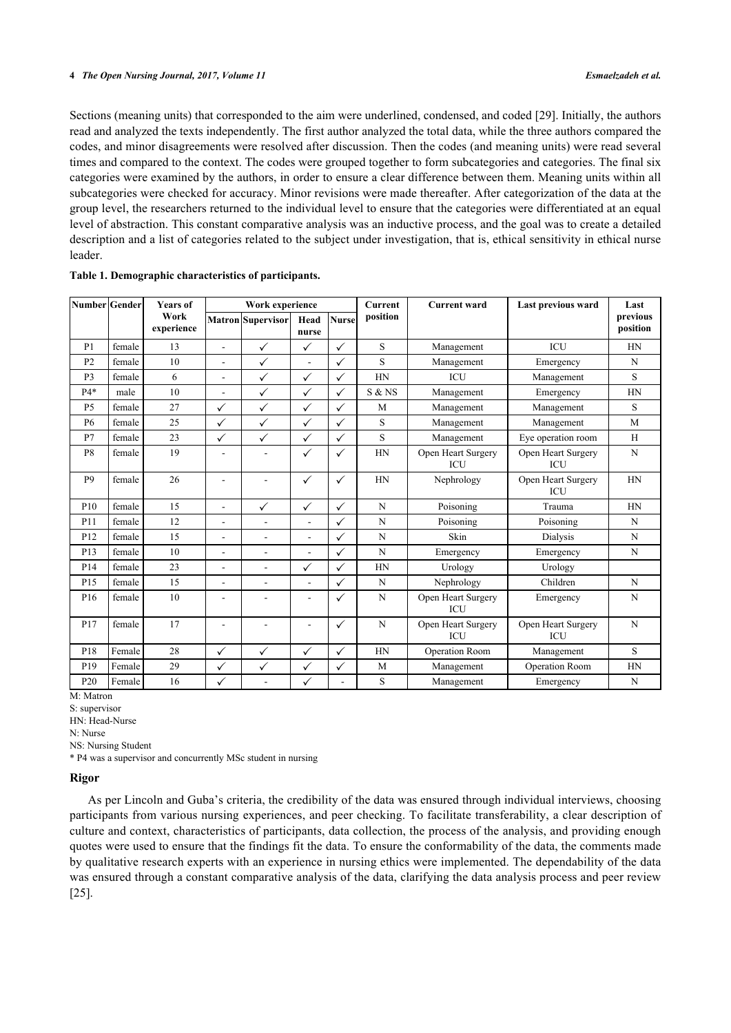Sections (meaning units) that corresponded to the aim were underlined, condensed, and coded [\[29](#page-11-10)]. Initially, the authors read and analyzed the texts independently. The first author analyzed the total data, while the three authors compared the codes, and minor disagreements were resolved after discussion. Then the codes (and meaning units) were read several times and compared to the context. The codes were grouped together to form subcategories and categories. The final six categories were examined by the authors, in order to ensure a clear difference between them. Meaning units within all subcategories were checked for accuracy. Minor revisions were made thereafter. After categorization of the data at the group level, the researchers returned to the individual level to ensure that the categories were differentiated at an equal level of abstraction. This constant comparative analysis was an inductive process, and the goal was to create a detailed description and a list of categories related to the subject under investigation, that is, ethical sensitivity in ethical nurse leader.

| Number Gender   |        | <b>Years</b> of    | <b>Work experience</b>   |                   |                          | <b>Current</b> | <b>Current ward</b> | Last previous ward               | Last                      |                      |
|-----------------|--------|--------------------|--------------------------|-------------------|--------------------------|----------------|---------------------|----------------------------------|---------------------------|----------------------|
|                 |        | Work<br>experience |                          | Matron Supervisor | Head<br>nurse            | <b>Nurse</b>   | position            |                                  |                           | previous<br>position |
| P <sub>1</sub>  | female | 13                 | $\overline{a}$           | $\checkmark$      | $\checkmark$             | ✓              | S                   | Management                       | <b>ICU</b>                | HN                   |
| P <sub>2</sub>  | female | 10                 | $\overline{a}$           | $\checkmark$      | $\overline{a}$           | $\checkmark$   | S                   | Management                       | Emergency                 | $\mathbf N$          |
| P <sub>3</sub>  | female | 6                  | $\overline{a}$           | $\checkmark$      | $\checkmark$             | $\checkmark$   | HN                  | ICU                              | Management                | S                    |
| P4*             | male   | 10                 |                          | $\checkmark$      | $\checkmark$             | $\checkmark$   | S & NS              | Management                       | Emergency                 | HN                   |
| P <sub>5</sub>  | female | 27                 | $\checkmark$             | $\checkmark$      | $\checkmark$             | $\checkmark$   | M                   | Management                       | Management                | S                    |
| <b>P6</b>       | female | 25                 | $\checkmark$             | $\checkmark$      | $\checkmark$             | $\checkmark$   | S                   | Management                       | Management                | M                    |
| P7              | female | 23                 | $\checkmark$             | $\checkmark$      | $\checkmark$             | ✓              | S                   | Management                       | Eye operation room        | H                    |
| P <sub>8</sub>  | female | 19                 | $\overline{a}$           |                   | $\checkmark$             | $\checkmark$   | <b>HN</b>           | Open Heart Surgery<br><b>ICU</b> | Open Heart Surgery<br>ICU | $\mathbf N$          |
| <b>P9</b>       | female | 26                 | $\overline{a}$           |                   | $\checkmark$             | ✓              | HN                  | Nephrology                       | Open Heart Surgery<br>ICU | HN                   |
| P10             | female | 15                 | $\overline{a}$           | $\checkmark$      | $\checkmark$             | $\checkmark$   | $\mathbf N$         | Poisoning                        | Trauma                    | HN                   |
| P11             | female | 12                 | $\overline{a}$           | $\overline{a}$    | $\overline{\phantom{a}}$ | ✓              | $\mathbf N$         | Poisoning                        | Poisoning                 | N                    |
| P <sub>12</sub> | female | 15                 | $\overline{a}$           | $\overline{a}$    | $\blacksquare$           | ✓              | $\mathbf N$         | Skin                             | Dialysis                  | $\mathbf N$          |
| P13             | female | 10                 | $\overline{a}$           | $\blacksquare$    | $\blacksquare$           | ✓              | $\mathbf N$         | Emergency                        | Emergency                 | $\mathbf N$          |
| P <sub>14</sub> | female | 23                 | $\blacksquare$           | ٠                 | $\checkmark$             | ✓              | HN                  | Urology                          | Urology                   |                      |
| P <sub>15</sub> | female | 15                 | $\overline{\phantom{a}}$ | $\overline{a}$    | $\overline{\phantom{a}}$ | ✓              | N                   | Nephrology                       | Children                  | $\mathbf N$          |
| P <sub>16</sub> | female | 10                 |                          |                   | L,                       | ✓              | N                   | Open Heart Surgery<br><b>ICU</b> | Emergency                 | $\mathbf N$          |
| P17             | female | 17                 |                          |                   | $\blacksquare$           | ✓              | N                   | Open Heart Surgery<br>ICU        | Open Heart Surgery<br>ICU | N                    |
| P18             | Female | 28                 | $\checkmark$             | $\checkmark$      | $\checkmark$             | $\checkmark$   | HN                  | Operation Room                   | Management                | S                    |
| P <sub>19</sub> | Female | 29                 | $\checkmark$             | $\checkmark$      | $\checkmark$             | $\checkmark$   | M                   | Management                       | Operation Room            | HN                   |
| P <sub>20</sub> | Female | 16                 | ✓                        |                   | $\checkmark$             |                | S                   | Management                       | Emergency                 | $\mathbf N$          |

#### <span id="page-3-0"></span>**Table 1. Demographic characteristics of participants.**

M: Matron

S: supervisor

HN: Head-Nurse

N: Nurse

NS: Nursing Student

\* P4 was a supervisor and concurrently MSc student in nursing

# **Rigor**

As per Lincoln and Guba's criteria, the credibility of the data was ensured through individual interviews, choosing participants from various nursing experiences, and peer checking. To facilitate transferability, a clear description of culture and context, characteristics of participants, data collection, the process of the analysis, and providing enough quotes were used to ensure that the findings fit the data. To ensure the conformability of the data, the comments made by qualitative research experts with an experience in nursing ethics were implemented. The dependability of the data was ensured through a constant comparative analysis of the data, clarifying the data analysis process and peer review [\[25](#page-11-6)].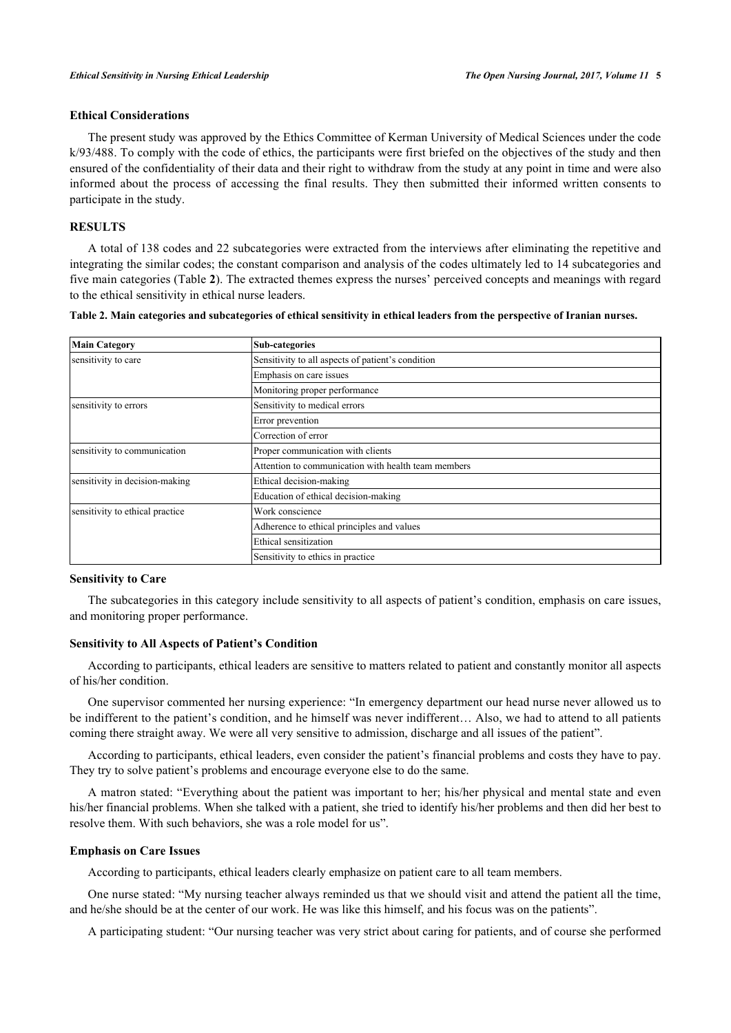# **Ethical Considerations**

The present study was approved by the Ethics Committee of Kerman University of Medical Sciences under the code k/93/488. To comply with the code of ethics, the participants were first briefed on the objectives of the study and then ensured of the confidentiality of their data and their right to withdraw from the study at any point in time and were also informed about the process of accessing the final results. They then submitted their informed written consents to participate in the study.

# **RESULTS**

A total of 138 codes and 22 subcategories were extracted from the interviews after eliminating the repetitive and integrating the similar codes; the constant comparison and analysis of the codes ultimately led to 14 subcategories and five main categories (Table **[2](#page-4-0)**). The extracted themes express the nurses' perceived concepts and meanings with regard to the ethical sensitivity in ethical nurse leaders.

| <b>Main Category</b>            | Sub-categories                                      |  |  |  |
|---------------------------------|-----------------------------------------------------|--|--|--|
| sensitivity to care             | Sensitivity to all aspects of patient's condition   |  |  |  |
|                                 | Emphasis on care issues                             |  |  |  |
|                                 | Monitoring proper performance                       |  |  |  |
| sensitivity to errors           | Sensitivity to medical errors                       |  |  |  |
|                                 | Error prevention                                    |  |  |  |
|                                 | Correction of error                                 |  |  |  |
| sensitivity to communication    | Proper communication with clients                   |  |  |  |
|                                 | Attention to communication with health team members |  |  |  |
| sensitivity in decision-making  | Ethical decision-making                             |  |  |  |
|                                 | Education of ethical decision-making                |  |  |  |
| sensitivity to ethical practice | Work conscience                                     |  |  |  |
|                                 | Adherence to ethical principles and values          |  |  |  |
|                                 | Ethical sensitization                               |  |  |  |
|                                 | Sensitivity to ethics in practice                   |  |  |  |

<span id="page-4-0"></span>**Table 2. Main categories and subcategories of ethical sensitivity in ethical leaders from the perspective of Iranian nurses.**

#### **Sensitivity to Care**

The subcategories in this category include sensitivity to all aspects of patient's condition, emphasis on care issues, and monitoring proper performance.

#### **Sensitivity to All Aspects of Patient's Condition**

According to participants, ethical leaders are sensitive to matters related to patient and constantly monitor all aspects of his/her condition.

One supervisor commented her nursing experience: "In emergency department our head nurse never allowed us to be indifferent to the patient's condition, and he himself was never indifferent… Also, we had to attend to all patients coming there straight away. We were all very sensitive to admission, discharge and all issues of the patient".

According to participants, ethical leaders, even consider the patient's financial problems and costs they have to pay. They try to solve patient's problems and encourage everyone else to do the same.

A matron stated: "Everything about the patient was important to her; his/her physical and mental state and even his/her financial problems. When she talked with a patient, she tried to identify his/her problems and then did her best to resolve them. With such behaviors, she was a role model for us".

#### **Emphasis on Care Issues**

According to participants, ethical leaders clearly emphasize on patient care to all team members.

One nurse stated: "My nursing teacher always reminded us that we should visit and attend the patient all the time, and he/she should be at the center of our work. He was like this himself, and his focus was on the patients".

A participating student: "Our nursing teacher was very strict about caring for patients, and of course she performed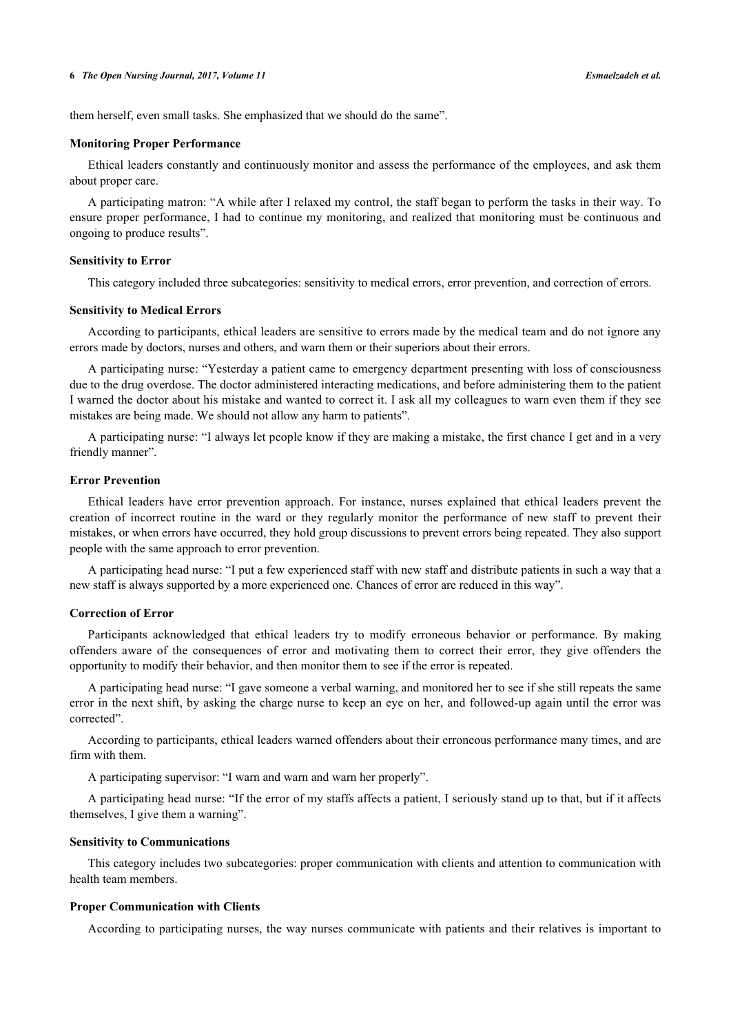#### **6** *The Open Nursing Journal, 2017, Volume 11 Esmaelzadeh et al.*

them herself, even small tasks. She emphasized that we should do the same".

#### **Monitoring Proper Performance**

Ethical leaders constantly and continuously monitor and assess the performance of the employees, and ask them about proper care.

A participating matron: "A while after I relaxed my control, the staff began to perform the tasks in their way. To ensure proper performance, I had to continue my monitoring, and realized that monitoring must be continuous and ongoing to produce results".

#### **Sensitivity to Error**

This category included three subcategories: sensitivity to medical errors, error prevention, and correction of errors.

#### **Sensitivity to Medical Errors**

According to participants, ethical leaders are sensitive to errors made by the medical team and do not ignore any errors made by doctors, nurses and others, and warn them or their superiors about their errors.

A participating nurse: "Yesterday a patient came to emergency department presenting with loss of consciousness due to the drug overdose. The doctor administered interacting medications, and before administering them to the patient I warned the doctor about his mistake and wanted to correct it. I ask all my colleagues to warn even them if they see mistakes are being made. We should not allow any harm to patients".

A participating nurse: "I always let people know if they are making a mistake, the first chance I get and in a very friendly manner".

# **Error Prevention**

Ethical leaders have error prevention approach. For instance, nurses explained that ethical leaders prevent the creation of incorrect routine in the ward or they regularly monitor the performance of new staff to prevent their mistakes, or when errors have occurred, they hold group discussions to prevent errors being repeated. They also support people with the same approach to error prevention.

A participating head nurse: "I put a few experienced staff with new staff and distribute patients in such a way that a new staff is always supported by a more experienced one. Chances of error are reduced in this way".

# **Correction of Error**

Participants acknowledged that ethical leaders try to modify erroneous behavior or performance. By making offenders aware of the consequences of error and motivating them to correct their error, they give offenders the opportunity to modify their behavior, and then monitor them to see if the error is repeated.

A participating head nurse: "I gave someone a verbal warning, and monitored her to see if she still repeats the same error in the next shift, by asking the charge nurse to keep an eye on her, and followed-up again until the error was corrected".

According to participants, ethical leaders warned offenders about their erroneous performance many times, and are firm with them.

A participating supervisor: "I warn and warn and warn her properly".

A participating head nurse: "If the error of my staffs affects a patient, I seriously stand up to that, but if it affects themselves, I give them a warning".

#### **Sensitivity to Communications**

This category includes two subcategories: proper communication with clients and attention to communication with health team members.

# **Proper Communication with Clients**

According to participating nurses, the way nurses communicate with patients and their relatives is important to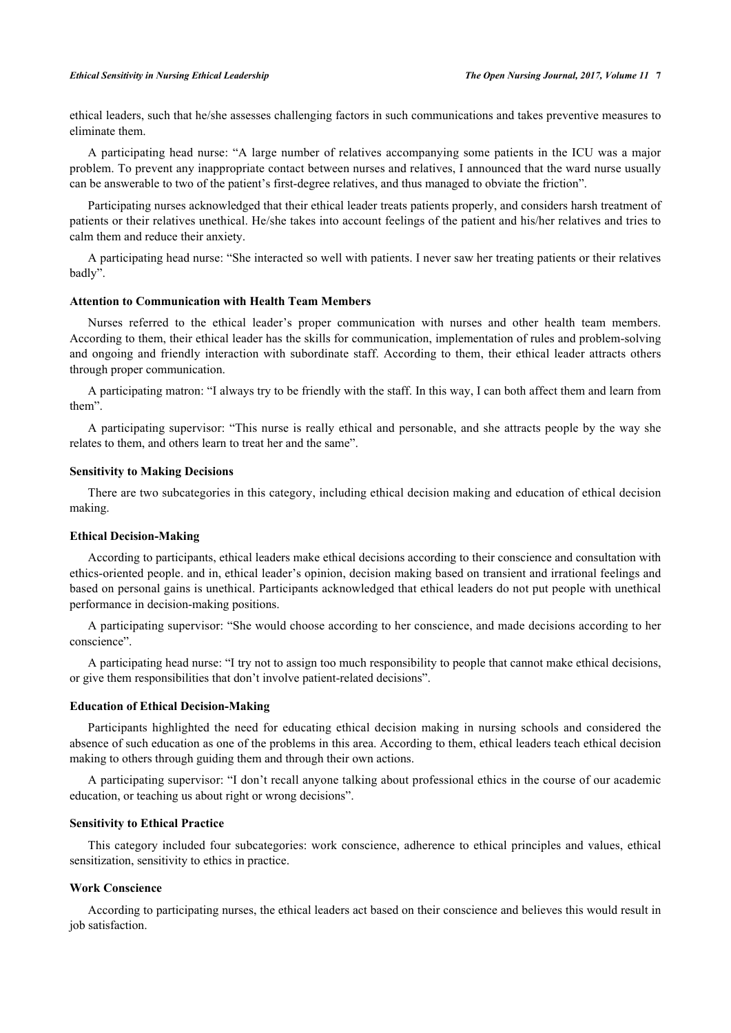#### *Ethical Sensitivity in Nursing Ethical Leadership The Open Nursing Journal, 2017, Volume 11* **7**

ethical leaders, such that he/she assesses challenging factors in such communications and takes preventive measures to eliminate them.

A participating head nurse: "A large number of relatives accompanying some patients in the ICU was a major problem. To prevent any inappropriate contact between nurses and relatives, I announced that the ward nurse usually can be answerable to two of the patient's first-degree relatives, and thus managed to obviate the friction".

Participating nurses acknowledged that their ethical leader treats patients properly, and considers harsh treatment of patients or their relatives unethical. He/she takes into account feelings of the patient and his/her relatives and tries to calm them and reduce their anxiety.

A participating head nurse: "She interacted so well with patients. I never saw her treating patients or their relatives badly".

#### **Attention to Communication with Health Team Members**

Nurses referred to the ethical leader's proper communication with nurses and other health team members. According to them, their ethical leader has the skills for communication, implementation of rules and problem-solving and ongoing and friendly interaction with subordinate staff. According to them, their ethical leader attracts others through proper communication.

A participating matron: "I always try to be friendly with the staff. In this way, I can both affect them and learn from them".

A participating supervisor: "This nurse is really ethical and personable, and she attracts people by the way she relates to them, and others learn to treat her and the same".

#### **Sensitivity to Making Decisions**

There are two subcategories in this category, including ethical decision making and education of ethical decision making.

#### **Ethical Decision-Making**

According to participants, ethical leaders make ethical decisions according to their conscience and consultation with ethics-oriented people. and in, ethical leader's opinion, decision making based on transient and irrational feelings and based on personal gains is unethical. Participants acknowledged that ethical leaders do not put people with unethical performance in decision-making positions.

A participating supervisor: "She would choose according to her conscience, and made decisions according to her conscience".

A participating head nurse: "I try not to assign too much responsibility to people that cannot make ethical decisions, or give them responsibilities that don't involve patient-related decisions".

# **Education of Ethical Decision-Making**

Participants highlighted the need for educating ethical decision making in nursing schools and considered the absence of such education as one of the problems in this area. According to them, ethical leaders teach ethical decision making to others through guiding them and through their own actions.

A participating supervisor: "I don't recall anyone talking about professional ethics in the course of our academic education, or teaching us about right or wrong decisions".

# **Sensitivity to Ethical Practice**

This category included four subcategories: work conscience, adherence to ethical principles and values, ethical sensitization, sensitivity to ethics in practice.

#### **Work Conscience**

According to participating nurses, the ethical leaders act based on their conscience and believes this would result in job satisfaction.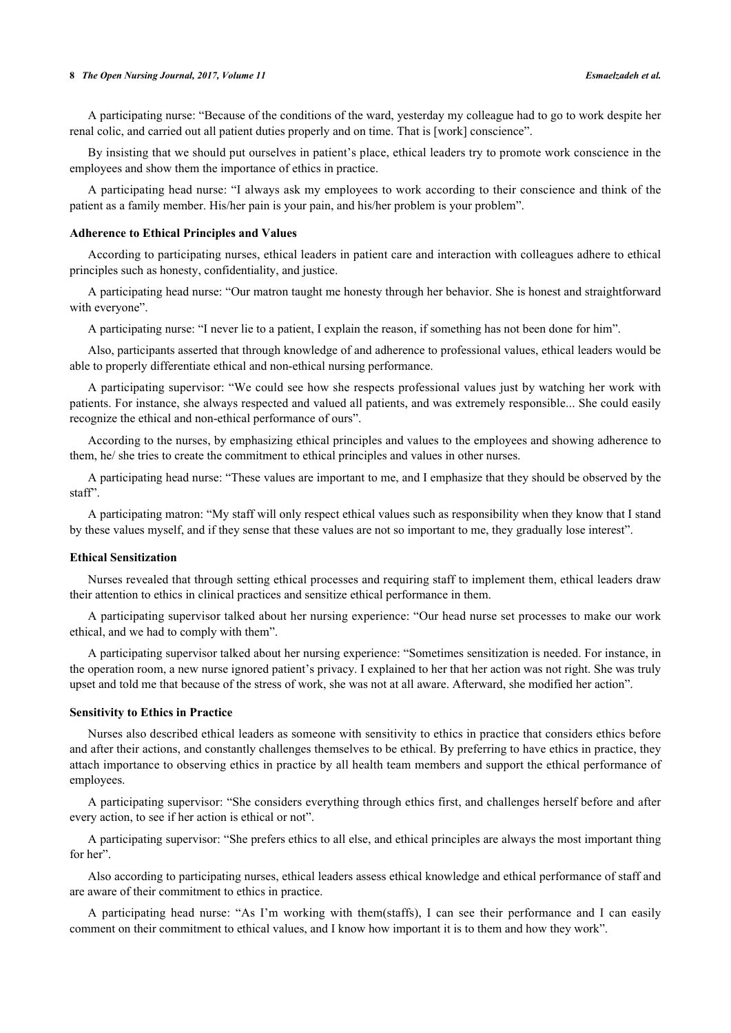A participating nurse: "Because of the conditions of the ward, yesterday my colleague had to go to work despite her renal colic, and carried out all patient duties properly and on time. That is [work] conscience".

By insisting that we should put ourselves in patient's place, ethical leaders try to promote work conscience in the employees and show them the importance of ethics in practice.

A participating head nurse: "I always ask my employees to work according to their conscience and think of the patient as a family member. His/her pain is your pain, and his/her problem is your problem".

#### **Adherence to Ethical Principles and Values**

According to participating nurses, ethical leaders in patient care and interaction with colleagues adhere to ethical principles such as honesty, confidentiality, and justice.

A participating head nurse: "Our matron taught me honesty through her behavior. She is honest and straightforward with everyone".

A participating nurse: "I never lie to a patient, I explain the reason, if something has not been done for him".

Also, participants asserted that through knowledge of and adherence to professional values, ethical leaders would be able to properly differentiate ethical and non-ethical nursing performance.

A participating supervisor: "We could see how she respects professional values just by watching her work with patients. For instance, she always respected and valued all patients, and was extremely responsible... She could easily recognize the ethical and non-ethical performance of ours".

According to the nurses, by emphasizing ethical principles and values to the employees and showing adherence to them, he/ she tries to create the commitment to ethical principles and values in other nurses.

A participating head nurse: "These values are important to me, and I emphasize that they should be observed by the staff".

A participating matron: "My staff will only respect ethical values such as responsibility when they know that I stand by these values myself, and if they sense that these values are not so important to me, they gradually lose interest".

# **Ethical Sensitization**

Nurses revealed that through setting ethical processes and requiring staff to implement them, ethical leaders draw their attention to ethics in clinical practices and sensitize ethical performance in them.

A participating supervisor talked about her nursing experience: "Our head nurse set processes to make our work ethical, and we had to comply with them".

A participating supervisor talked about her nursing experience: "Sometimes sensitization is needed. For instance, in the operation room, a new nurse ignored patient's privacy. I explained to her that her action was not right. She was truly upset and told me that because of the stress of work, she was not at all aware. Afterward, she modified her action".

#### **Sensitivity to Ethics in Practice**

Nurses also described ethical leaders as someone with sensitivity to ethics in practice that considers ethics before and after their actions, and constantly challenges themselves to be ethical. By preferring to have ethics in practice, they attach importance to observing ethics in practice by all health team members and support the ethical performance of employees.

A participating supervisor: "She considers everything through ethics first, and challenges herself before and after every action, to see if her action is ethical or not".

A participating supervisor: "She prefers ethics to all else, and ethical principles are always the most important thing for her".

Also according to participating nurses, ethical leaders assess ethical knowledge and ethical performance of staff and are aware of their commitment to ethics in practice.

A participating head nurse: "As I'm working with them(staffs), I can see their performance and I can easily comment on their commitment to ethical values, and I know how important it is to them and how they work".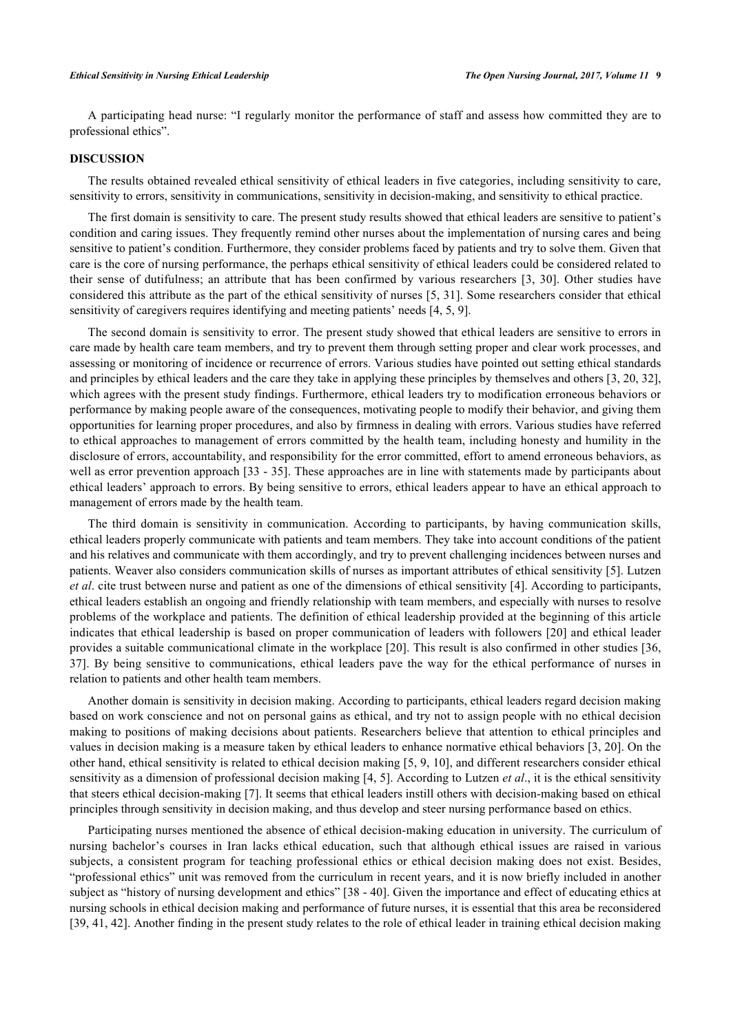A participating head nurse: "I regularly monitor the performance of staff and assess how committed they are to professional ethics".

# **DISCUSSION**

The results obtained revealed ethical sensitivity of ethical leaders in five categories, including sensitivity to care, sensitivity to errors, sensitivity in communications, sensitivity in decision-making, and sensitivity to ethical practice.

The first domain is sensitivity to care. The present study results showed that ethical leaders are sensitive to patient's condition and caring issues. They frequently remind other nurses about the implementation of nursing cares and being sensitive to patient's condition. Furthermore, they consider problems faced by patients and try to solve them. Given that care is the core of nursing performance, the perhaps ethical sensitivity of ethical leaders could be considered related to their sense of dutifulness; an attribute that has been confirmed by various researchers [\[3](#page-10-2), [30](#page-11-11)]. Other studies have considered this attribute as the part of the ethical sensitivity of nurses [[5,](#page-10-4) [31](#page-11-12)]. Some researchers consider that ethical sensitivity of caregivers requires identifying and meeting patients' needs [\[4](#page-10-3), [5](#page-10-4), [9](#page-10-7)].

The second domain is sensitivity to error. The present study showed that ethical leaders are sensitive to errors in care made by health care team members, and try to prevent them through setting proper and clear work processes, and assessing or monitoring of incidence or recurrence of errors. Various studies have pointed out setting ethical standards and principles by ethical leaders and the care they take in applying these principles by themselves and others [[3,](#page-10-2) [20,](#page-11-1) [32\]](#page-11-13), which agrees with the present study findings. Furthermore, ethical leaders try to modification erroneous behaviors or performance by making people aware of the consequences, motivating people to modify their behavior, and giving them opportunities for learning proper procedures, and also by firmness in dealing with errors. Various studies have referred to ethical approaches to management of errors committed by the health team, including honesty and humility in the disclosure of errors, accountability, and responsibility for the error committed, effort to amend erroneous behaviors, as well as error prevention approach [[33](#page-11-14) - [35](#page-11-15)]. These approaches are in line with statements made by participants about ethical leaders' approach to errors. By being sensitive to errors, ethical leaders appear to have an ethical approach to management of errors made by the health team.

The third domain is sensitivity in communication. According to participants, by having communication skills, ethical leaders properly communicate with patients and team members. They take into account conditions of the patient and his relatives and communicate with them accordingly, and try to prevent challenging incidences between nurses and patients. Weaver also considers communication skills of nurses as important attributes of ethical sensitivity [[5](#page-10-4)]. Lutzen *et al*. cite trust between nurse and patient as one of the dimensions of ethical sensitivity [[4](#page-10-3)]. According to participants, ethical leaders establish an ongoing and friendly relationship with team members, and especially with nurses to resolve problems of the workplace and patients. The definition of ethical leadership provided at the beginning of this article indicates that ethical leadership is based on proper communication of leaders with followers [\[20](#page-11-1)] and ethical leader provides a suitable communicational climate in the workplace [[20\]](#page-11-1). This result is also confirmed in other studies [[36](#page-11-16), [37\]](#page-11-17). By being sensitive to communications, ethical leaders pave the way for the ethical performance of nurses in relation to patients and other health team members.

Another domain is sensitivity in decision making. According to participants, ethical leaders regard decision making based on work conscience and not on personal gains as ethical, and try not to assign people with no ethical decision making to positions of making decisions about patients. Researchers believe that attention to ethical principles and values in decision making is a measure taken by ethical leaders to enhance normative ethical behaviors [\[3](#page-10-2), [20\]](#page-11-1). On the other hand, ethical sensitivity is related to ethical decision making [\[5](#page-10-4), [9](#page-10-7), [10\]](#page-10-9), and different researchers consider ethical sensitivity as a dimension of professional decision making [\[4](#page-10-3), [5](#page-10-4)]. According to Lutzen *et al*., it is the ethical sensitivity that steers ethical decision-making [[7\]](#page-10-5). It seems that ethical leaders instill others with decision-making based on ethical principles through sensitivity in decision making, and thus develop and steer nursing performance based on ethics.

Participating nurses mentioned the absence of ethical decision-making education in university. The curriculum of nursing bachelor's courses in Iran lacks ethical education, such that although ethical issues are raised in various subjects, a consistent program for teaching professional ethics or ethical decision making does not exist. Besides, "professional ethics" unit was removed from the curriculum in recent years, and it is now briefly included in another subject as "history of nursing development and ethics" [[38](#page-11-18) - [40\]](#page-11-19). Given the importance and effect of educating ethics at nursing schools in ethical decision making and performance of future nurses, it is essential that this area be reconsidered [\[39](#page-11-20), [41](#page-11-21), [42\]](#page-11-22). Another finding in the present study relates to the role of ethical leader in training ethical decision making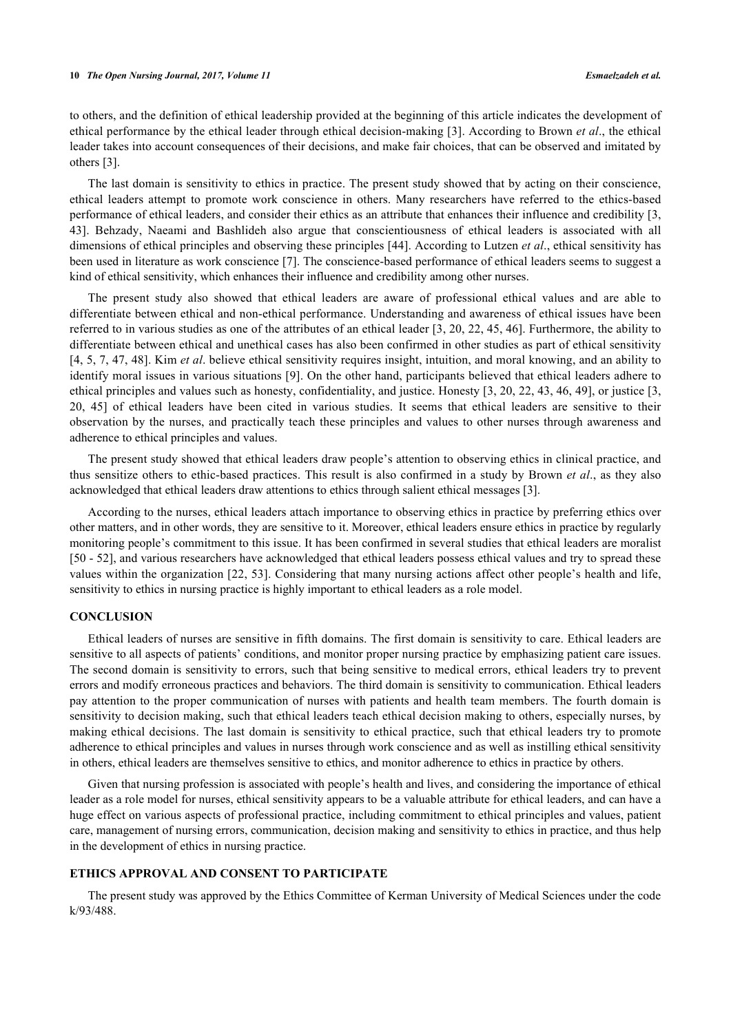to others, and the definition of ethical leadership provided at the beginning of this article indicates the development of ethical performance by the ethical leader through ethical decision-making [[3\]](#page-10-2). According to Brown *et al*., the ethical leader takes into account consequences of their decisions, and make fair choices, that can be observed and imitated by others [[3\]](#page-10-2).

The last domain is sensitivity to ethics in practice. The present study showed that by acting on their conscience, ethical leaders attempt to promote work conscience in others. Many researchers have referred to the ethics-based performance of ethical leaders, and consider their ethics as an attribute that enhances their influence and credibility [[3](#page-10-2), [43\]](#page-11-23). Behzady, Naeami and Bashlideh also argue that conscientiousness of ethical leaders is associated with all dimensions of ethical principles and observing these principles [\[44](#page-11-24)]. According to Lutzen *et al*., ethical sensitivity has been used in literature as work conscience [\[7](#page-10-5)]. The conscience-based performance of ethical leaders seems to suggest a kind of ethical sensitivity, which enhances their influence and credibility among other nurses.

The present study also showed that ethical leaders are aware of professional ethical values and are able to differentiate between ethical and non-ethical performance. Understanding and awareness of ethical issues have been referred to in various studies as one of the attributes of an ethical leader [[3,](#page-10-2) [20](#page-11-1), [22,](#page-11-3) [45,](#page-11-25) [46](#page-12-1)]. Furthermore, the ability to differentiate between ethical and unethical cases has also been confirmed in other studies as part of ethical sensitivity [\[4](#page-10-3), [5,](#page-10-4) [7](#page-10-5), [47,](#page-12-2) [48](#page-12-3)]. Kim *et al*. believe ethical sensitivity requires insight, intuition, and moral knowing, and an ability to identify moral issues in various situations [[9](#page-10-7)]. On the other hand, participants believed that ethical leaders adhere to ethical principles and values such as honesty, confidentiality, and justice. Honesty [[3](#page-10-2), [20](#page-11-1), [22,](#page-11-3) [43](#page-11-23), [46](#page-12-1), [49\]](#page-12-4), or justice [[3](#page-10-2), [20,](#page-11-1) [45](#page-11-25)] of ethical leaders have been cited in various studies. It seems that ethical leaders are sensitive to their observation by the nurses, and practically teach these principles and values to other nurses through awareness and adherence to ethical principles and values.

The present study showed that ethical leaders draw people's attention to observing ethics in clinical practice, and thus sensitize others to ethic-based practices. This result is also confirmed in a study by Brown *et al*., as they also acknowledged that ethical leaders draw attentions to ethics through salient ethical messages [\[3](#page-10-2)].

According to the nurses, ethical leaders attach importance to observing ethics in practice by preferring ethics over other matters, and in other words, they are sensitive to it. Moreover, ethical leaders ensure ethics in practice by regularly monitoring people's commitment to this issue. It has been confirmed in several studies that ethical leaders are moralist [\[50](#page-12-5) - [52\]](#page-12-6), and various researchers have acknowledged that ethical leaders possess ethical values and try to spread these values within the organization [[22,](#page-11-3) [53\]](#page-12-7). Considering that many nursing actions affect other people's health and life, sensitivity to ethics in nursing practice is highly important to ethical leaders as a role model.

# **CONCLUSION**

Ethical leaders of nurses are sensitive in fifth domains. The first domain is sensitivity to care. Ethical leaders are sensitive to all aspects of patients' conditions, and monitor proper nursing practice by emphasizing patient care issues. The second domain is sensitivity to errors, such that being sensitive to medical errors, ethical leaders try to prevent errors and modify erroneous practices and behaviors. The third domain is sensitivity to communication. Ethical leaders pay attention to the proper communication of nurses with patients and health team members. The fourth domain is sensitivity to decision making, such that ethical leaders teach ethical decision making to others, especially nurses, by making ethical decisions. The last domain is sensitivity to ethical practice, such that ethical leaders try to promote adherence to ethical principles and values in nurses through work conscience and as well as instilling ethical sensitivity in others, ethical leaders are themselves sensitive to ethics, and monitor adherence to ethics in practice by others.

Given that nursing profession is associated with people's health and lives, and considering the importance of ethical leader as a role model for nurses, ethical sensitivity appears to be a valuable attribute for ethical leaders, and can have a huge effect on various aspects of professional practice, including commitment to ethical principles and values, patient care, management of nursing errors, communication, decision making and sensitivity to ethics in practice, and thus help in the development of ethics in nursing practice.

## **ETHICS APPROVAL AND CONSENT TO PARTICIPATE**

The present study was approved by the Ethics Committee of Kerman University of Medical Sciences under the code k/93/488.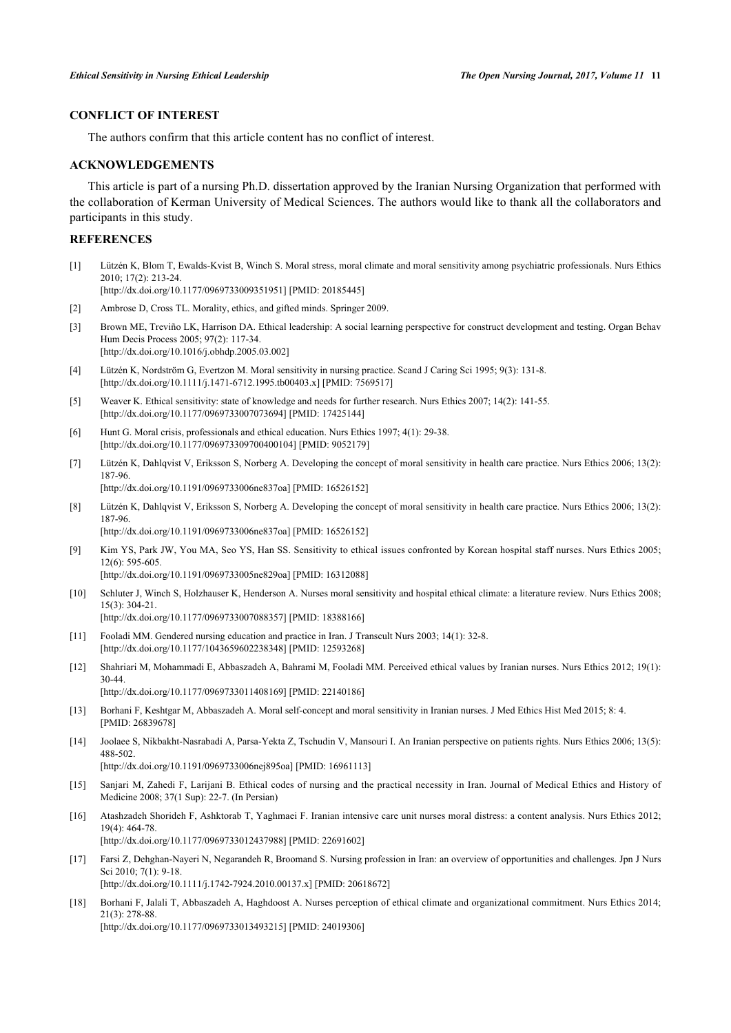# **CONFLICT OF INTEREST**

The authors confirm that this article content has no conflict of interest.

#### **ACKNOWLEDGEMENTS**

This article is part of a nursing Ph.D. dissertation approved by the Iranian Nursing Organization that performed with the collaboration of Kerman University of Medical Sciences. The authors would like to thank all the collaborators and participants in this study.

# **REFERENCES**

- <span id="page-10-0"></span>[1] Lützén K, Blom T, Ewalds-Kvist B, Winch S. Moral stress, moral climate and moral sensitivity among psychiatric professionals. Nurs Ethics 2010; 17(2): 213-24. [\[http://dx.doi.org/10.1177/0969733009351951\]](http://dx.doi.org/10.1177/0969733009351951) [PMID: [20185445](http://www.ncbi.nlm.nih.gov/pubmed/20185445)]
- <span id="page-10-1"></span>[2] Ambrose D, Cross TL. Morality, ethics, and gifted minds. Springer 2009.
- <span id="page-10-2"></span>[3] Brown ME, Treviño LK, Harrison DA. Ethical leadership: A social learning perspective for construct development and testing. Organ Behav Hum Decis Process 2005; 97(2): 117-34. [\[http://dx.doi.org/10.1016/j.obhdp.2005.03.002](http://dx.doi.org/10.1016/j.obhdp.2005.03.002)]
- <span id="page-10-3"></span>[4] Lützén K, Nordström G, Evertzon M. Moral sensitivity in nursing practice. Scand J Caring Sci 1995; 9(3): 131-8. [\[http://dx.doi.org/10.1111/j.1471-6712.1995.tb00403.x\]](http://dx.doi.org/10.1111/j.1471-6712.1995.tb00403.x) [PMID: [7569517](http://www.ncbi.nlm.nih.gov/pubmed/7569517)]
- <span id="page-10-4"></span>[5] Weaver K. Ethical sensitivity: state of knowledge and needs for further research. Nurs Ethics 2007; 14(2): 141-55. [\[http://dx.doi.org/10.1177/0969733007073694\]](http://dx.doi.org/10.1177/0969733007073694) [PMID: [17425144](http://www.ncbi.nlm.nih.gov/pubmed/17425144)]
- <span id="page-10-8"></span>[6] Hunt G. Moral crisis, professionals and ethical education. Nurs Ethics 1997; 4(1): 29-38. [\[http://dx.doi.org/10.1177/096973309700400104\]](http://dx.doi.org/10.1177/096973309700400104) [PMID: [9052179](http://www.ncbi.nlm.nih.gov/pubmed/9052179)]
- <span id="page-10-5"></span>[7] Lützén K, Dahlqvist V, Eriksson S, Norberg A. Developing the concept of moral sensitivity in health care practice. Nurs Ethics 2006; 13(2): 187-96. [\[http://dx.doi.org/10.1191/0969733006ne837oa\]](http://dx.doi.org/10.1191/0969733006ne837oa) [PMID: [16526152](http://www.ncbi.nlm.nih.gov/pubmed/16526152)]
- <span id="page-10-6"></span>[8] Lützén K, Dahlqvist V, Eriksson S, Norberg A. Developing the concept of moral sensitivity in health care practice. Nurs Ethics 2006; 13(2): 187-96. [\[http://dx.doi.org/10.1191/0969733006ne837oa\]](http://dx.doi.org/10.1191/0969733006ne837oa) [PMID: [16526152](http://www.ncbi.nlm.nih.gov/pubmed/16526152)]
- <span id="page-10-7"></span>[9] Kim YS, Park JW, You MA, Seo YS, Han SS. Sensitivity to ethical issues confronted by Korean hospital staff nurses. Nurs Ethics 2005; 12(6): 595-605. [\[http://dx.doi.org/10.1191/0969733005ne829oa\]](http://dx.doi.org/10.1191/0969733005ne829oa) [PMID: [16312088](http://www.ncbi.nlm.nih.gov/pubmed/16312088)]
- <span id="page-10-9"></span>[10] Schluter J, Winch S, Holzhauser K, Henderson A. Nurses moral sensitivity and hospital ethical climate: a literature review. Nurs Ethics 2008; 15(3): 304-21. [\[http://dx.doi.org/10.1177/0969733007088357\]](http://dx.doi.org/10.1177/0969733007088357) [PMID: [18388166](http://www.ncbi.nlm.nih.gov/pubmed/18388166)]
- <span id="page-10-10"></span>[11] Fooladi MM. Gendered nursing education and practice in Iran. J Transcult Nurs 2003; 14(1): 32-8. [\[http://dx.doi.org/10.1177/1043659602238348\]](http://dx.doi.org/10.1177/1043659602238348) [PMID: [12593268](http://www.ncbi.nlm.nih.gov/pubmed/12593268)]
- <span id="page-10-11"></span>[12] Shahriari M, Mohammadi E, Abbaszadeh A, Bahrami M, Fooladi MM. Perceived ethical values by Iranian nurses. Nurs Ethics 2012; 19(1): 30-44. [\[http://dx.doi.org/10.1177/0969733011408169\]](http://dx.doi.org/10.1177/0969733011408169) [PMID: [22140186](http://www.ncbi.nlm.nih.gov/pubmed/22140186)]
- <span id="page-10-12"></span>[13] Borhani F, Keshtgar M, Abbaszadeh A. Moral self-concept and moral sensitivity in Iranian nurses. J Med Ethics Hist Med 2015; 8: 4. [PMID: [26839678\]](http://www.ncbi.nlm.nih.gov/pubmed/26839678)
- <span id="page-10-13"></span>[14] Joolaee S, Nikbakht-Nasrabadi A, Parsa-Yekta Z, Tschudin V, Mansouri I. An Iranian perspective on patients rights. Nurs Ethics 2006; 13(5): 488-502. [\[http://dx.doi.org/10.1191/0969733006nej895oa](http://dx.doi.org/10.1191/0969733006nej895oa)] [PMID: [16961113\]](http://www.ncbi.nlm.nih.gov/pubmed/16961113)
- <span id="page-10-14"></span>[15] Sanjari M, Zahedi F, Larijani B. Ethical codes of nursing and the practical necessity in Iran. Journal of Medical Ethics and History of Medicine 2008; 37(1 Sup): 22-7. (In Persian)
- <span id="page-10-15"></span>[16] Atashzadeh Shorideh F, Ashktorab T, Yaghmaei F. Iranian intensive care unit nurses moral distress: a content analysis. Nurs Ethics 2012; 19(4): 464-78. [\[http://dx.doi.org/10.1177/0969733012437988\]](http://dx.doi.org/10.1177/0969733012437988) [PMID: [22691602](http://www.ncbi.nlm.nih.gov/pubmed/22691602)]
- <span id="page-10-16"></span>[17] Farsi Z, Dehghan-Nayeri N, Negarandeh R, Broomand S. Nursing profession in Iran: an overview of opportunities and challenges. Jpn J Nurs Sci 2010; 7(1): 9-18.
- [\[http://dx.doi.org/10.1111/j.1742-7924.2010.00137.x\]](http://dx.doi.org/10.1111/j.1742-7924.2010.00137.x) [PMID: [20618672](http://www.ncbi.nlm.nih.gov/pubmed/20618672)]
- <span id="page-10-17"></span>[18] Borhani F, Jalali T, Abbaszadeh A, Haghdoost A. Nurses perception of ethical climate and organizational commitment. Nurs Ethics 2014; 21(3): 278-88. [\[http://dx.doi.org/10.1177/0969733013493215\]](http://dx.doi.org/10.1177/0969733013493215) [PMID: [24019306](http://www.ncbi.nlm.nih.gov/pubmed/24019306)]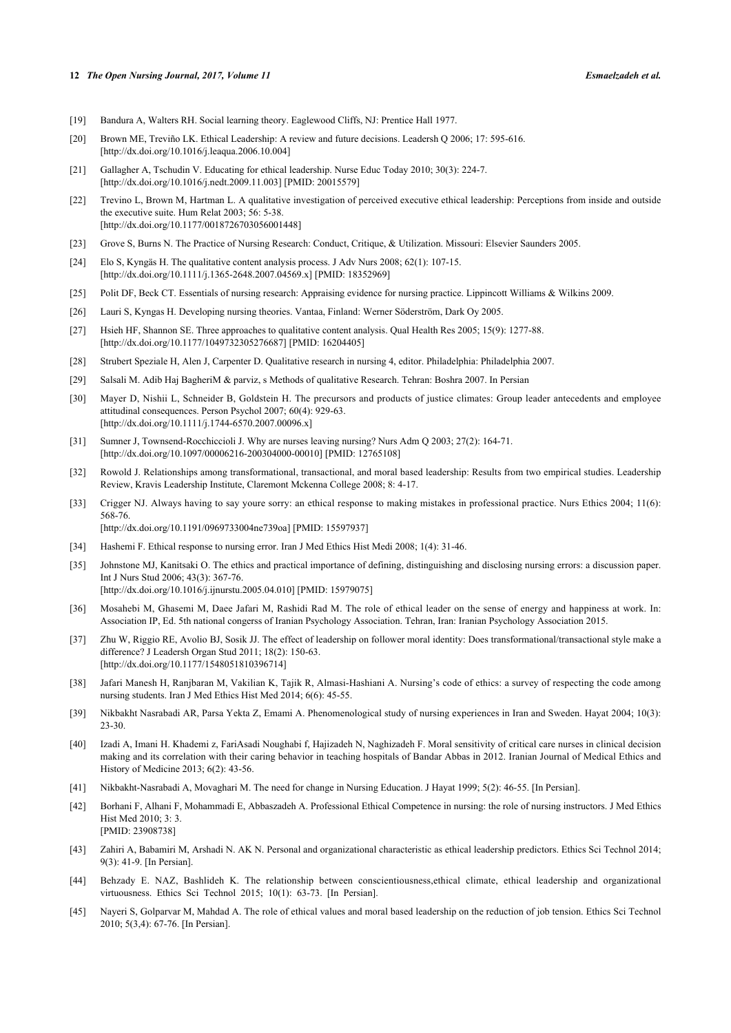#### **12** *The Open Nursing Journal, 2017, Volume 11 Esmaelzadeh et al.*

- <span id="page-11-0"></span>[19] Bandura A, Walters RH. Social learning theory. Eaglewood Cliffs, NJ: Prentice Hall 1977.
- <span id="page-11-1"></span>[20] Brown ME, Treviño LK. Ethical Leadership: A review and future decisions. Leadersh Q 2006; 17: 595-616. [\[http://dx.doi.org/10.1016/j.leaqua.2006.10.004\]](http://dx.doi.org/10.1016/j.leaqua.2006.10.004)
- <span id="page-11-2"></span>[21] Gallagher A, Tschudin V. Educating for ethical leadership. Nurse Educ Today 2010; 30(3): 224-7. [\[http://dx.doi.org/10.1016/j.nedt.2009.11.003\]](http://dx.doi.org/10.1016/j.nedt.2009.11.003) [PMID: [20015579](http://www.ncbi.nlm.nih.gov/pubmed/20015579)]
- <span id="page-11-3"></span>[22] Trevino L, Brown M, Hartman L. A qualitative investigation of perceived executive ethical leadership: Perceptions from inside and outside the executive suite. Hum Relat 2003; 56: 5-38. [\[http://dx.doi.org/10.1177/0018726703056001448\]](http://dx.doi.org/10.1177/0018726703056001448)
- <span id="page-11-4"></span>[23] Grove S, Burns N. The Practice of Nursing Research: Conduct, Critique, & Utilization. Missouri: Elsevier Saunders 2005.
- <span id="page-11-5"></span>[24] Elo S, Kyngäs H. The qualitative content analysis process. J Adv Nurs 2008; 62(1): 107-15. [\[http://dx.doi.org/10.1111/j.1365-2648.2007.04569.x\]](http://dx.doi.org/10.1111/j.1365-2648.2007.04569.x) [PMID: [18352969](http://www.ncbi.nlm.nih.gov/pubmed/18352969)]
- <span id="page-11-6"></span>[25] Polit DF, Beck CT. Essentials of nursing research: Appraising evidence for nursing practice. Lippincott Williams & Wilkins 2009.
- <span id="page-11-7"></span>[26] Lauri S, Kyngas H. Developing nursing theories. Vantaa, Finland: Werner Söderström, Dark Oy 2005.
- <span id="page-11-8"></span>[27] Hsieh HF, Shannon SE. Three approaches to qualitative content analysis. Qual Health Res 2005; 15(9): 1277-88. [\[http://dx.doi.org/10.1177/1049732305276687\]](http://dx.doi.org/10.1177/1049732305276687) [PMID: [16204405](http://www.ncbi.nlm.nih.gov/pubmed/16204405)]
- <span id="page-11-9"></span>[28] Strubert Speziale H, Alen J, Carpenter D. Qualitative research in nursing 4, editor. Philadelphia: Philadelphia 2007.
- <span id="page-11-10"></span>[29] Salsali M. Adib Haj BagheriM & parviz, s Methods of qualitative Research. Tehran: Boshra 2007. In Persian
- <span id="page-11-11"></span>[30] Mayer D, Nishii L, Schneider B, Goldstein H. The precursors and products of justice climates: Group leader antecedents and employee attitudinal consequences. Person Psychol 2007; 60(4): 929-63. [\[http://dx.doi.org/10.1111/j.1744-6570.2007.00096.x\]](http://dx.doi.org/10.1111/j.1744-6570.2007.00096.x)
- <span id="page-11-12"></span>[31] Sumner J, Townsend-Rocchiccioli J. Why are nurses leaving nursing? Nurs Adm Q 2003; 27(2): 164-71. [\[http://dx.doi.org/10.1097/00006216-200304000-00010](http://dx.doi.org/10.1097/00006216-200304000-00010)] [PMID: [12765108\]](http://www.ncbi.nlm.nih.gov/pubmed/12765108)
- <span id="page-11-13"></span>[32] Rowold J. Relationships among transformational, transactional, and moral based leadership: Results from two empirical studies. Leadership Review, Kravis Leadership Institute, Claremont Mckenna College 2008; 8: 4-17.
- <span id="page-11-14"></span>[33] Crigger NJ. Always having to say youre sorry: an ethical response to making mistakes in professional practice. Nurs Ethics 2004; 11(6): 568-76. [\[http://dx.doi.org/10.1191/0969733004ne739oa\]](http://dx.doi.org/10.1191/0969733004ne739oa) [PMID: [15597937](http://www.ncbi.nlm.nih.gov/pubmed/15597937)]
- [34] Hashemi F. Ethical response to nursing error. Iran J Med Ethics Hist Medi 2008; 1(4): 31-46.
- <span id="page-11-15"></span>[35] Johnstone MJ, Kanitsaki O. The ethics and practical importance of defining, distinguishing and disclosing nursing errors: a discussion paper. Int J Nurs Stud 2006; 43(3): 367-76. [\[http://dx.doi.org/10.1016/j.ijnurstu.2005.04.010](http://dx.doi.org/10.1016/j.ijnurstu.2005.04.010)] [PMID: [15979075](http://www.ncbi.nlm.nih.gov/pubmed/15979075)]
- <span id="page-11-16"></span>[36] Mosahebi M, Ghasemi M, Daee Jafari M, Rashidi Rad M. The role of ethical leader on the sense of energy and happiness at work. In: Association IP, Ed. 5th national congerss of Iranian Psychology Association. Tehran, Iran: Iranian Psychology Association 2015.
- <span id="page-11-17"></span>[37] Zhu W, Riggio RE, Avolio BJ, Sosik JJ. The effect of leadership on follower moral identity: Does transformational/transactional style make a difference? J Leadersh Organ Stud 2011; 18(2): 150-63. [\[http://dx.doi.org/10.1177/1548051810396714\]](http://dx.doi.org/10.1177/1548051810396714)
- <span id="page-11-18"></span>[38] Jafari Manesh H, Ranjbaran M, Vakilian K, Tajik R, Almasi-Hashiani A. Nursing's code of ethics: a survey of respecting the code among nursing students. Iran J Med Ethics Hist Med 2014; 6(6): 45-55.
- <span id="page-11-20"></span>[39] Nikbakht Nasrabadi AR, Parsa Yekta Z, Emami A. Phenomenological study of nursing experiences in Iran and Sweden. Hayat 2004; 10(3): 23-30.
- <span id="page-11-19"></span>[40] Izadi A, Imani H. Khademi z, FariAsadi Noughabi f, Hajizadeh N, Naghizadeh F. Moral sensitivity of critical care nurses in clinical decision making and its correlation with their caring behavior in teaching hospitals of Bandar Abbas in 2012. Iranian Journal of Medical Ethics and History of Medicine 2013; 6(2): 43-56.
- <span id="page-11-21"></span>[41] Nikbakht-Nasrabadi A, Movaghari M. The need for change in Nursing Education. J Hayat 1999; 5(2): 46-55. [In Persian].
- <span id="page-11-22"></span>[42] Borhani F, Alhani F, Mohammadi E, Abbaszadeh A. Professional Ethical Competence in nursing: the role of nursing instructors. J Med Ethics Hist Med 2010; 3: 3. [PMID: [23908738\]](http://www.ncbi.nlm.nih.gov/pubmed/23908738)
- <span id="page-11-23"></span>[43] Zahiri A, Babamiri M, Arshadi N. AK N. Personal and organizational characteristic as ethical leadership predictors. Ethics Sci Technol 2014; 9(3): 41-9. [In Persian].
- <span id="page-11-24"></span>[44] Behzady E. NAZ, Bashlideh K. The relationship between conscientiousness,ethical climate, ethical leadership and organizational virtuousness. Ethics Sci Technol 2015; 10(1): 63-73. [In Persian].
- <span id="page-11-25"></span>[45] Nayeri S, Golparvar M, Mahdad A. The role of ethical values and moral based leadership on the reduction of job tension. Ethics Sci Technol 2010; 5(3,4): 67-76. [In Persian].